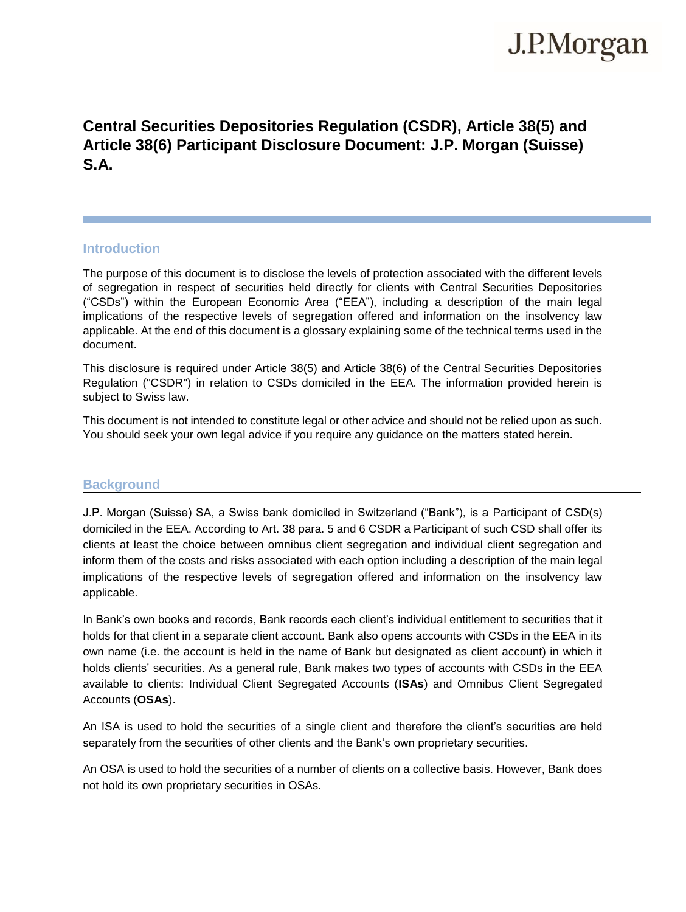# J.P.Morgan

# **Central Securities Depositories Regulation (CSDR), Article 38(5) and Article 38(6) Participant Disclosure Document: J.P. Morgan (Suisse) S.A.**

# **Introduction**

The purpose of this document is to disclose the levels of protection associated with the different levels of segregation in respect of securities held directly for clients with Central Securities Depositories ("CSDs") within the European Economic Area ("EEA"), including a description of the main legal implications of the respective levels of segregation offered and information on the insolvency law applicable. At the end of this document is a glossary explaining some of the technical terms used in the document.

This disclosure is required under Article 38(5) and Article 38(6) of the Central Securities Depositories Regulation ("CSDR") in relation to CSDs domiciled in the EEA. The information provided herein is subject to Swiss law.

This document is not intended to constitute legal or other advice and should not be relied upon as such. You should seek your own legal advice if you require any guidance on the matters stated herein.

# **Background**

J.P. Morgan (Suisse) SA, a Swiss bank domiciled in Switzerland ("Bank"), is a Participant of CSD(s) domiciled in the EEA. According to Art. 38 para. 5 and 6 CSDR a Participant of such CSD shall offer its clients at least the choice between omnibus client segregation and individual client segregation and inform them of the costs and risks associated with each option including a description of the main legal implications of the respective levels of segregation offered and information on the insolvency law applicable.

In Bank's own books and records, Bank records each client's individual entitlement to securities that it holds for that client in a separate client account. Bank also opens accounts with CSDs in the EEA in its own name (i.e. the account is held in the name of Bank but designated as client account) in which it holds clients' securities. As a general rule, Bank makes two types of accounts with CSDs in the EEA available to clients: Individual Client Segregated Accounts (**ISAs**) and Omnibus Client Segregated Accounts (**OSAs**).

An ISA is used to hold the securities of a single client and therefore the client's securities are held separately from the securities of other clients and the Bank's own proprietary securities.

An OSA is used to hold the securities of a number of clients on a collective basis. However, Bank does not hold its own proprietary securities in OSAs.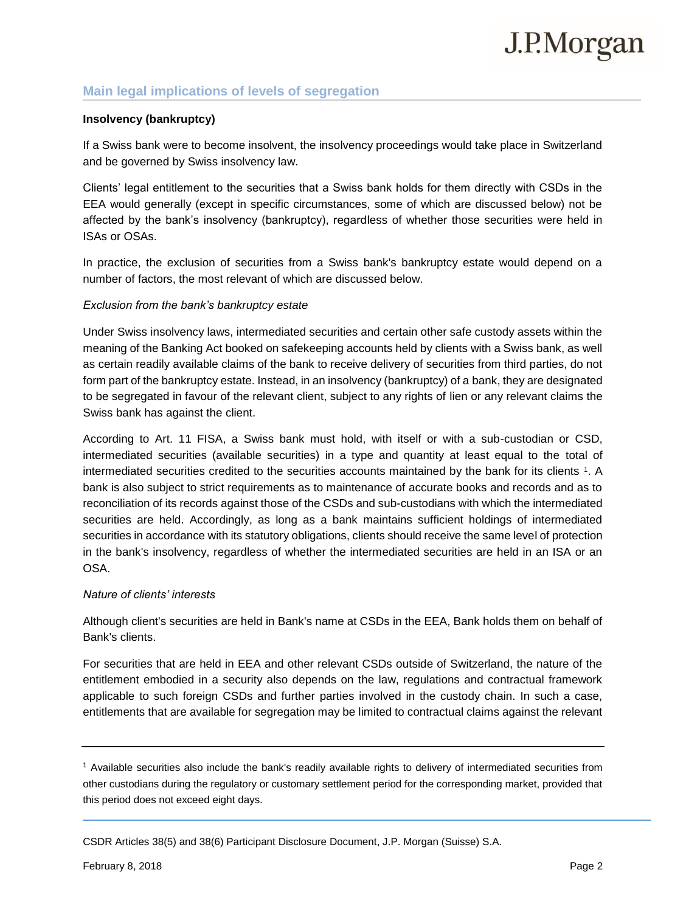# **Main legal implications of levels of segregation**

## **Insolvency (bankruptcy)**

If a Swiss bank were to become insolvent, the insolvency proceedings would take place in Switzerland and be governed by Swiss insolvency law.

Clients' legal entitlement to the securities that a Swiss bank holds for them directly with CSDs in the EEA would generally (except in specific circumstances, some of which are discussed below) not be affected by the bank's insolvency (bankruptcy), regardless of whether those securities were held in ISAs or OSAs.

In practice, the exclusion of securities from a Swiss bank's bankruptcy estate would depend on a number of factors, the most relevant of which are discussed below.

### *Exclusion from the bank's bankruptcy estate*

Under Swiss insolvency laws, intermediated securities and certain other safe custody assets within the meaning of the Banking Act booked on safekeeping accounts held by clients with a Swiss bank, as well as certain readily available claims of the bank to receive delivery of securities from third parties, do not form part of the bankruptcy estate. Instead, in an insolvency (bankruptcy) of a bank, they are designated to be segregated in favour of the relevant client, subject to any rights of lien or any relevant claims the Swiss bank has against the client.

According to Art. 11 FISA, a Swiss bank must hold, with itself or with a sub-custodian or CSD, intermediated securities (available securities) in a type and quantity at least equal to the total of intermediated securities credited to the securities accounts maintained by the bank for its clients 1. A bank is also subject to strict requirements as to maintenance of accurate books and records and as to reconciliation of its records against those of the CSDs and sub-custodians with which the intermediated securities are held. Accordingly, as long as a bank maintains sufficient holdings of intermediated securities in accordance with its statutory obligations, clients should receive the same level of protection in the bank's insolvency, regardless of whether the intermediated securities are held in an ISA or an OSA.

#### *Nature of clients' interests*

Although client's securities are held in Bank's name at CSDs in the EEA, Bank holds them on behalf of Bank's clients.

For securities that are held in EEA and other relevant CSDs outside of Switzerland, the nature of the entitlement embodied in a security also depends on the law, regulations and contractual framework applicable to such foreign CSDs and further parties involved in the custody chain. In such a case, entitlements that are available for segregation may be limited to contractual claims against the relevant

<sup>1</sup> Available securities also include the bank's readily available rights to delivery of intermediated securities from other custodians during the regulatory or customary settlement period for the corresponding market, provided that this period does not exceed eight days.

CSDR Articles 38(5) and 38(6) Participant Disclosure Document, J.P. Morgan (Suisse) S.A.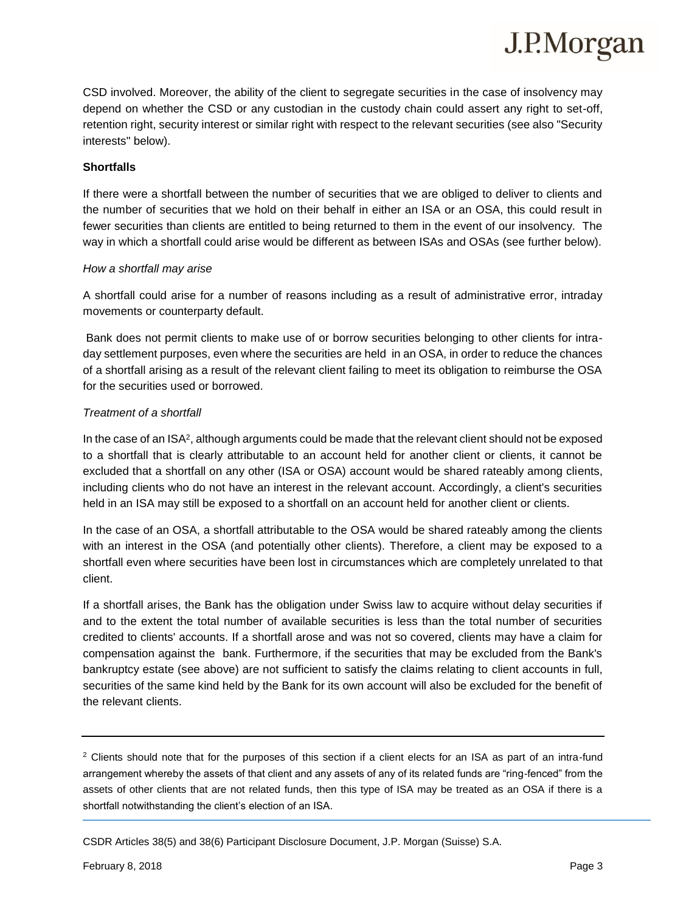CSD involved. Moreover, the ability of the client to segregate securities in the case of insolvency may depend on whether the CSD or any custodian in the custody chain could assert any right to set-off, retention right, security interest or similar right with respect to the relevant securities (see also "Security interests" below).

#### **Shortfalls**

If there were a shortfall between the number of securities that we are obliged to deliver to clients and the number of securities that we hold on their behalf in either an ISA or an OSA, this could result in fewer securities than clients are entitled to being returned to them in the event of our insolvency. The way in which a shortfall could arise would be different as between ISAs and OSAs (see further below).

#### *How a shortfall may arise*

A shortfall could arise for a number of reasons including as a result of administrative error, intraday movements or counterparty default.

Bank does not permit clients to make use of or borrow securities belonging to other clients for intraday settlement purposes, even where the securities are held in an OSA, in order to reduce the chances of a shortfall arising as a result of the relevant client failing to meet its obligation to reimburse the OSA for the securities used or borrowed.

#### *Treatment of a shortfall*

In the case of an ISA<sup>2</sup>, although arguments could be made that the relevant client should not be exposed to a shortfall that is clearly attributable to an account held for another client or clients, it cannot be excluded that a shortfall on any other (ISA or OSA) account would be shared rateably among clients, including clients who do not have an interest in the relevant account. Accordingly, a client's securities held in an ISA may still be exposed to a shortfall on an account held for another client or clients.

In the case of an OSA, a shortfall attributable to the OSA would be shared rateably among the clients with an interest in the OSA (and potentially other clients). Therefore, a client may be exposed to a shortfall even where securities have been lost in circumstances which are completely unrelated to that client.

If a shortfall arises, the Bank has the obligation under Swiss law to acquire without delay securities if and to the extent the total number of available securities is less than the total number of securities credited to clients' accounts. If a shortfall arose and was not so covered, clients may have a claim for compensation against the bank. Furthermore, if the securities that may be excluded from the Bank's bankruptcy estate (see above) are not sufficient to satisfy the claims relating to client accounts in full, securities of the same kind held by the Bank for its own account will also be excluded for the benefit of the relevant clients.

<sup>2</sup> Clients should note that for the purposes of this section if a client elects for an ISA as part of an intra-fund arrangement whereby the assets of that client and any assets of any of its related funds are "ring-fenced" from the assets of other clients that are not related funds, then this type of ISA may be treated as an OSA if there is a shortfall notwithstanding the client's election of an ISA.

CSDR Articles 38(5) and 38(6) Participant Disclosure Document, J.P. Morgan (Suisse) S.A.

J.P.Morgan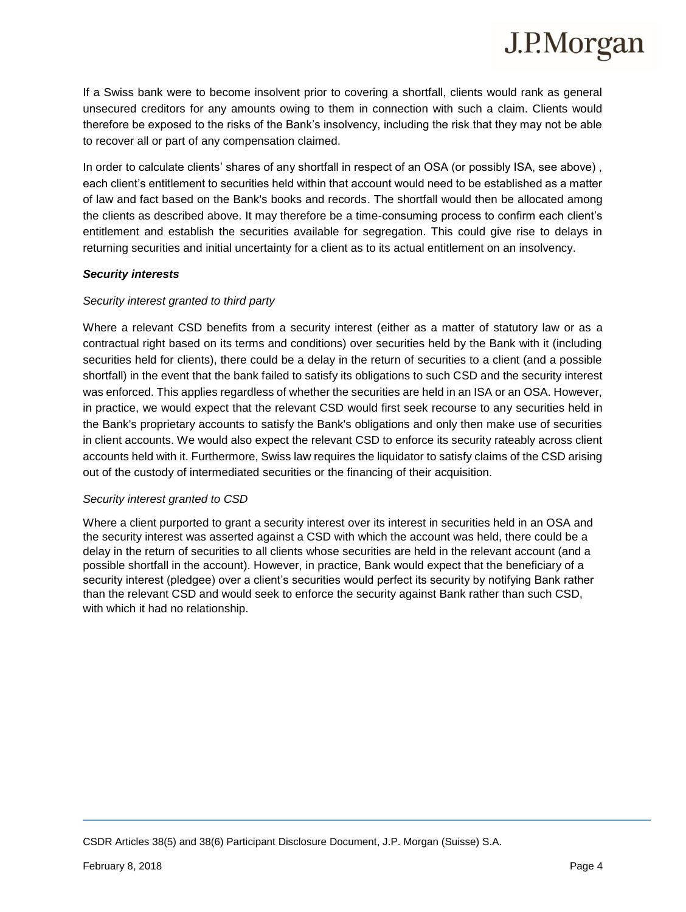

If a Swiss bank were to become insolvent prior to covering a shortfall, clients would rank as general unsecured creditors for any amounts owing to them in connection with such a claim. Clients would therefore be exposed to the risks of the Bank's insolvency, including the risk that they may not be able to recover all or part of any compensation claimed.

In order to calculate clients' shares of any shortfall in respect of an OSA (or possibly ISA, see above) , each client's entitlement to securities held within that account would need to be established as a matter of law and fact based on the Bank's books and records. The shortfall would then be allocated among the clients as described above. It may therefore be a time-consuming process to confirm each client's entitlement and establish the securities available for segregation. This could give rise to delays in returning securities and initial uncertainty for a client as to its actual entitlement on an insolvency.

#### *Security interests*

#### *Security interest granted to third party*

Where a relevant CSD benefits from a security interest (either as a matter of statutory law or as a contractual right based on its terms and conditions) over securities held by the Bank with it (including securities held for clients), there could be a delay in the return of securities to a client (and a possible shortfall) in the event that the bank failed to satisfy its obligations to such CSD and the security interest was enforced. This applies regardless of whether the securities are held in an ISA or an OSA. However, in practice, we would expect that the relevant CSD would first seek recourse to any securities held in the Bank's proprietary accounts to satisfy the Bank's obligations and only then make use of securities in client accounts. We would also expect the relevant CSD to enforce its security rateably across client accounts held with it. Furthermore, Swiss law requires the liquidator to satisfy claims of the CSD arising out of the custody of intermediated securities or the financing of their acquisition.

#### *Security interest granted to CSD*

Where a client purported to grant a security interest over its interest in securities held in an OSA and the security interest was asserted against a CSD with which the account was held, there could be a delay in the return of securities to all clients whose securities are held in the relevant account (and a possible shortfall in the account). However, in practice, Bank would expect that the beneficiary of a security interest (pledgee) over a client's securities would perfect its security by notifying Bank rather than the relevant CSD and would seek to enforce the security against Bank rather than such CSD, with which it had no relationship.

CSDR Articles 38(5) and 38(6) Participant Disclosure Document, J.P. Morgan (Suisse) S.A.